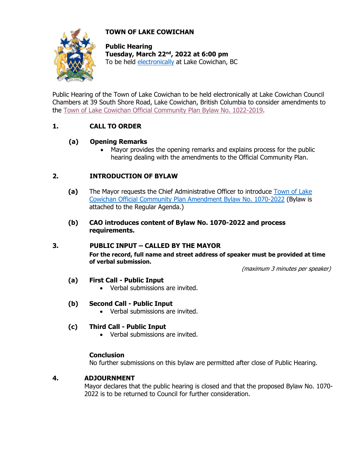# **TOWN OF LAKE COWICHAN**



**Public Hearing Tuesday, March 22nd, 2022 at 6:00 pm** To be held [electronically](https://www.youtube.com/channel/UC5plCK4kDsLCaGkpiq4SQAA/featured) at Lake Cowichan, BC

Public Hearing of the Town of Lake Cowichan to be held electronically at Lake Cowichan Council Chambers at 39 South Shore Road, Lake Cowichan, British Columbia to consider amendments to the [Town of Lake Cowichan Official Community Plan Bylaw](https://lakecowichan.ca/dl/1022-2019%20Official%20Community%20Plan%20Bylaw.pdf) No. 1022-2019.

# **1. CALL TO ORDER**

## **(a) Opening Remarks**

• Mayor provides the opening remarks and explains process for the public hearing dealing with the amendments to the Official Community Plan.

## **2. INTRODUCTION OF BYLAW**

- **(a)** The Mayor requests the Chief Administrative Officer to introduce [Town of Lake](http://www.lakecowichan.ca/dl/1070-2022%20OCP%20Amendment.pdf)  [Cowichan Official Community Plan Amendment Bylaw No. 1070-2022](http://www.lakecowichan.ca/dl/1070-2022%20OCP%20Amendment.pdf) (Bylaw is attached to the Regular Agenda.)
- **(b) CAO introduces content of Bylaw No. 1070-2022 and process requirements.**

#### **3. PUBLIC INPUT – CALLED BY THE MAYOR**

**For the record, full name and street address of speaker must be provided at time of verbal submission.**

(maximum 3 minutes per speaker)

#### **(a) First Call - Public Input**

• Verbal submissions are invited.

#### **(b) Second Call - Public Input**

• Verbal submissions are invited.

## **(c) Third Call - Public Input**

• Verbal submissions are invited.

#### **Conclusion**

No further submissions on this bylaw are permitted after close of Public Hearing.

#### **4. ADJOURNMENT**

Mayor declares that the public hearing is closed and that the proposed Bylaw No. 1070- 2022 is to be returned to Council for further consideration.